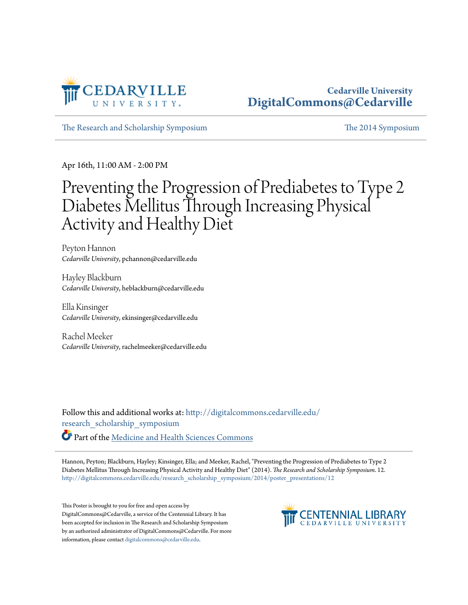

#### **Cedarville University [DigitalCommons@Cedarville](http://digitalcommons.cedarville.edu?utm_source=digitalcommons.cedarville.edu%2Fresearch_scholarship_symposium%2F2014%2Fposter_presentations%2F12&utm_medium=PDF&utm_campaign=PDFCoverPages)**

[The Research and Scholarship Symposium](http://digitalcommons.cedarville.edu/research_scholarship_symposium?utm_source=digitalcommons.cedarville.edu%2Fresearch_scholarship_symposium%2F2014%2Fposter_presentations%2F12&utm_medium=PDF&utm_campaign=PDFCoverPages) [The 2014 Symposium](http://digitalcommons.cedarville.edu/research_scholarship_symposium/2014?utm_source=digitalcommons.cedarville.edu%2Fresearch_scholarship_symposium%2F2014%2Fposter_presentations%2F12&utm_medium=PDF&utm_campaign=PDFCoverPages)

Apr 16th, 11:00 AM - 2:00 PM

#### Preventing the Progression of Prediabetes to Type 2 Diabetes Mellitus Through Increasing Physical Activity and Healthy Diet

Peyton Hannon *Cedarville University*, pchannon@cedarville.edu

Hayley Blackburn *Cedarville University*, heblackburn@cedarville.edu

Ella Kinsinger *Cedarville University*, ekinsinger@cedarville.edu

Rachel Meeker *Cedarville University*, rachelmeeker@cedarville.edu

Follow this and additional works at: [http://digitalcommons.cedarville.edu/](http://digitalcommons.cedarville.edu/research_scholarship_symposium?utm_source=digitalcommons.cedarville.edu%2Fresearch_scholarship_symposium%2F2014%2Fposter_presentations%2F12&utm_medium=PDF&utm_campaign=PDFCoverPages) [research\\_scholarship\\_symposium](http://digitalcommons.cedarville.edu/research_scholarship_symposium?utm_source=digitalcommons.cedarville.edu%2Fresearch_scholarship_symposium%2F2014%2Fposter_presentations%2F12&utm_medium=PDF&utm_campaign=PDFCoverPages)

Part of the [Medicine and Health Sciences Commons](http://network.bepress.com/hgg/discipline/648?utm_source=digitalcommons.cedarville.edu%2Fresearch_scholarship_symposium%2F2014%2Fposter_presentations%2F12&utm_medium=PDF&utm_campaign=PDFCoverPages)

Hannon, Peyton; Blackburn, Hayley; Kinsinger, Ella; and Meeker, Rachel, "Preventing the Progression of Prediabetes to Type 2 Diabetes Mellitus Through Increasing Physical Activity and Healthy Diet" (2014). *The Research and Scholarship Symposium*. 12. [http://digitalcommons.cedarville.edu/research\\_scholarship\\_symposium/2014/poster\\_presentations/12](http://digitalcommons.cedarville.edu/research_scholarship_symposium/2014/poster_presentations/12?utm_source=digitalcommons.cedarville.edu%2Fresearch_scholarship_symposium%2F2014%2Fposter_presentations%2F12&utm_medium=PDF&utm_campaign=PDFCoverPages)

This Poster is brought to you for free and open access by DigitalCommons@Cedarville, a service of the Centennial Library. It has been accepted for inclusion in The Research and Scholarship Symposium by an authorized administrator of DigitalCommons@Cedarville. For more information, please contact [digitalcommons@cedarville.edu.](mailto:digitalcommons@cedarville.edu)